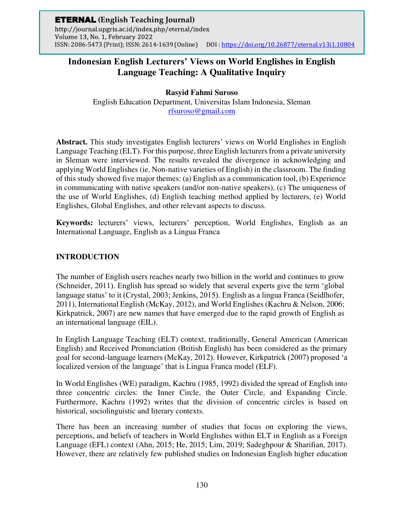# **Rasyid Fahmi Suroso**

English Education Department, Universitas Islam Indonesia, Sleman [rfsuroso@gmail.com](mailto:rfsuroso@gmail.com)

**Abstract.** This study investigates English lecturers' views on World Englishes in English Language Teaching (ELT). For this purpose, three English lecturers from a private university in Sleman were interviewed. The results revealed the divergence in acknowledging and applying World Englishes (ie. Non-native varieties of English) in the classroom. The finding of this study showed five major themes: (a) English as a communication tool, (b) Experience in communicating with native speakers (and/or non-native speakers), (c) The uniqueness of the use of World Englishes, (d) English teaching method applied by lecturers, (e) World Englishes, Global Englishes, and other relevant aspects to discuss.

**Keywords:** lecturers' views, lecturers' perception, World Englishes, English as an International Language, English as a Lingua Franca

## **INTRODUCTION**

The number of English users reaches nearly two billion in the world and continues to grow (Schneider, 2011). English has spread so widely that several experts give the term 'global language status' to it (Crystal, 2003; Jenkins, 2015). English as a lingua Franca (Seidlhofer, 2011), International English (McKay, 2012), and World Englishes (Kachru & Nelson, 2006; Kirkpatrick, 2007) are new names that have emerged due to the rapid growth of English as an international language (EIL).

In English Language Teaching (ELT) context, traditionally, General American (American English) and Received Pronunciation (British English) has been considered as the primary goal for second-language learners (McKay, 2012). However, Kirkpatrick (2007) proposed 'a localized version of the language' that is Lingua Franca model (ELF).

In World Englishes (WE) paradigm, Kachru (1985, 1992) divided the spread of English into three concentric circles: the Inner Circle, the Outer Circle, and Expanding Circle. Furthermore, Kachru (1992) writes that the division of concentric circles is based on historical, sociolinguistic and literary contexts.

There has been an increasing number of studies that focus on exploring the views, perceptions, and beliefs of teachers in World Englishes within ELT in English as a Foreign Language (EFL) context (Ahn, 2015; He, 2015; Lim, 2019; Sadeghpour & Sharifian, 2017). However, there are relatively few published studies on Indonesian English higher education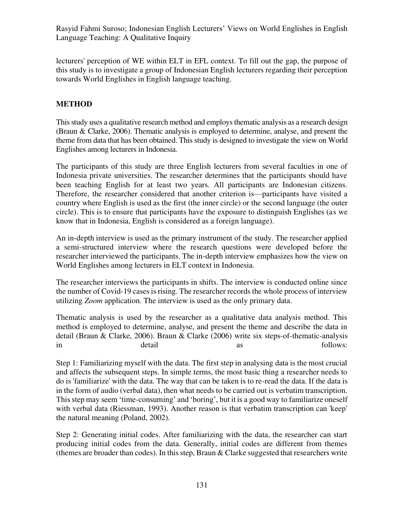lecturers' perception of WE within ELT in EFL context. To fill out the gap, the purpose of this study is to investigate a group of Indonesian English lecturers regarding their perception towards World Englishes in English language teaching.

# **METHOD**

This study uses a qualitative research method and employs thematic analysis as a research design (Braun & Clarke, 2006). Thematic analysis is employed to determine, analyse, and present the theme from data that has been obtained. This study is designed to investigate the view on World Englishes among lecturers in Indonesia.

The participants of this study are three English lecturers from several faculties in one of Indonesia private universities. The researcher determines that the participants should have been teaching English for at least two years. All participants are Indonesian citizens. Therefore, the researcher considered that another criterion is—participants have visited a country where English is used as the first (the inner circle) or the second language (the outer circle). This is to ensure that participants have the exposure to distinguish Englishes (as we know that in Indonesia, English is considered as a foreign language).

An in-depth interview is used as the primary instrument of the study. The researcher applied a semi-structured interview where the research questions were developed before the researcher interviewed the participants. The in-depth interview emphasizes how the view on World Englishes among lecturers in ELT context in Indonesia.

The researcher interviews the participants in shifts. The interview is conducted online since the number of Covid-19 cases is rising. The researcher records the whole process of interview utilizing *Zoom* application. The interview is used as the only primary data.

Thematic analysis is used by the researcher as a qualitative data analysis method. This method is employed to determine, analyse, and present the theme and describe the data in detail (Braun & Clarke, 2006). Braun & Clarke (2006) write six steps-of-thematic-analysis in detail detail as follows:

Step 1: Familiarizing myself with the data. The first step in analysing data is the most crucial and affects the subsequent steps. In simple terms, the most basic thing a researcher needs to do is 'familiarize' with the data. The way that can be taken is to re-read the data. If the data is in the form of audio (verbal data), then what needs to be carried out is verbatim transcription. This step may seem 'time-consuming' and 'boring', but it is a good way to familiarize oneself with verbal data (Riessman, 1993). Another reason is that verbatim transcription can 'keep' the natural meaning (Poland, 2002).

Step 2: Generating initial codes. After familiarizing with the data, the researcher can start producing initial codes from the data. Generally, initial codes are different from themes (themes are broader than codes). In this step, Braun & Clarke suggested that researchers write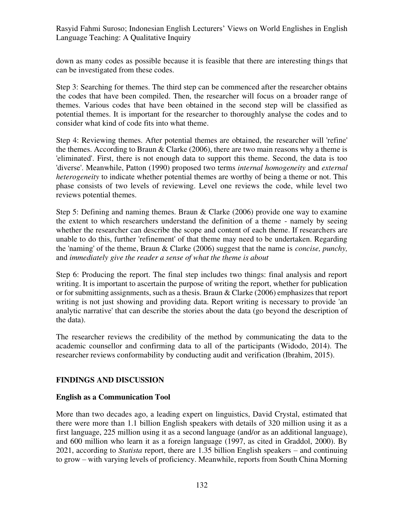down as many codes as possible because it is feasible that there are interesting things that can be investigated from these codes.

Step 3: Searching for themes. The third step can be commenced after the researcher obtains the codes that have been compiled. Then, the researcher will focus on a broader range of themes. Various codes that have been obtained in the second step will be classified as potential themes. It is important for the researcher to thoroughly analyse the codes and to consider what kind of code fits into what theme.

Step 4: Reviewing themes. After potential themes are obtained, the researcher will 'refine' the themes. According to Braun  $&$  Clarke (2006), there are two main reasons why a theme is 'eliminated'. First, there is not enough data to support this theme. Second, the data is too 'diverse'. Meanwhile, Patton (1990) proposed two terms *internal homogeneity* and *external heterogeneity* to indicate whether potential themes are worthy of being a theme or not. This phase consists of two levels of reviewing. Level one reviews the code, while level two reviews potential themes.

Step 5: Defining and naming themes. Braun & Clarke (2006) provide one way to examine the extent to which researchers understand the definition of a theme - namely by seeing whether the researcher can describe the scope and content of each theme. If researchers are unable to do this, further 'refinement' of that theme may need to be undertaken. Regarding the 'naming' of the theme, Braun & Clarke (2006) suggest that the name is *concise, punchy,*  and *immediately give the reader a sense of what the theme is about*

Step 6: Producing the report. The final step includes two things: final analysis and report writing. It is important to ascertain the purpose of writing the report, whether for publication or for submitting assignments, such as a thesis. Braun & Clarke (2006) emphasizes that report writing is not just showing and providing data. Report writing is necessary to provide 'an analytic narrative' that can describe the stories about the data (go beyond the description of the data).

The researcher reviews the credibility of the method by communicating the data to the academic counsellor and confirming data to all of the participants (Widodo, 2014). The researcher reviews conformability by conducting audit and verification (Ibrahim, 2015).

## **FINDINGS AND DISCUSSION**

### **English as a Communication Tool**

More than two decades ago, a leading expert on linguistics, David Crystal, estimated that there were more than 1.1 billion English speakers with details of 320 million using it as a first language, 225 million using it as a second language (and/or as an additional language), and 600 million who learn it as a foreign language (1997, as cited in Graddol, 2000). By 2021, according to *Statista* report, there are 1.35 billion English speakers – and continuing to grow – with varying levels of proficiency. Meanwhile, reports from South China Morning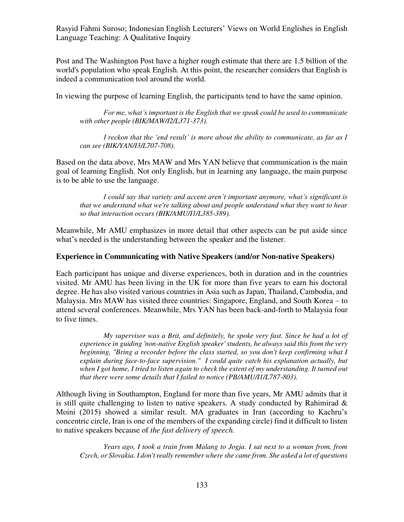Post and The Washington Post have a higher rough estimate that there are 1.5 billion of the world's population who speak English. At this point, the researcher considers that English is indeed a communication tool around the world.

In viewing the purpose of learning English, the participants tend to have the same opinion.

*For me, what's important is the English that we speak could be used to communicate with other people (BIK/MAW/I2/L371-373).* 

*I reckon that the 'end result' is more about the ability to communicate, as far as I can see (BIK/YAN/I3/L707-708).* 

Based on the data above, Mrs MAW and Mrs YAN believe that communication is the main goal of learning English. Not only English, but in learning any language, the main purpose is to be able to use the language.

*I could say that variety and accent aren't important anymore, what's significant is that we understand what we're talking about and people understand what they want to hear so that interaction occurs (BIK/AMU/I1/L385-389).* 

Meanwhile, Mr AMU emphasizes in more detail that other aspects can be put aside since what's needed is the understanding between the speaker and the listener.

#### **Experience in Communicating with Native Speakers (and/or Non-native Speakers)**

Each participant has unique and diverse experiences, both in duration and in the countries visited. Mr AMU has been living in the UK for more than five years to earn his doctoral degree. He has also visited various countries in Asia such as Japan, Thailand, Cambodia, and Malaysia. Mrs MAW has visited three countries: Singapore, England, and South Korea – to attend several conferences. Meanwhile, Mrs YAN has been back-and-forth to Malaysia four to five times.

*My supervisor was a Brit, and definitely, he spoke very fast. Since he had a lot of experience in guiding 'non-native English speaker' students, he always said this from the very beginning, "Bring a recorder before the class started, so you don't keep confirming what I explain during face-to-face supervision." I could quite catch his explanation actually, but when I got home, I tried to listen again to check the extent of my understanding. It turned out that there were some details that I failed to notice (PB/AMU/I1/L787-803).* 

Although living in Southampton, England for more than five years, Mr AMU admits that it is still quite challenging to listen to native speakers. A study conducted by Rahimirad  $\&$ Moini (2015) showed a similar result. MA graduates in Iran (according to Kachru's concentric circle, Iran is one of the members of the expanding circle) find it difficult to listen to native speakers because of *the fast delivery of speech.* 

*Years ago, I took a train from Malang to Jogja. I sat next to a woman from, from Czech, or Slovakia. I don't really remember where she came from. She asked a lot of questions*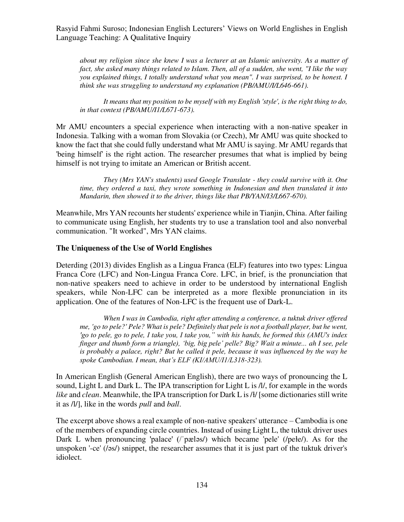*about my religion since she knew I was a lecturer at an Islamic university. As a matter of fact, she asked many things related to Islam. Then, all of a sudden, she went, "I like the way you explained things, I totally understand what you mean". I was surprised, to be honest. I think she was struggling to understand my explanation (PB/AMU/I/L646-661).* 

*It means that my position to be myself with my English 'style', is the right thing to do, in that context (PB/AMU/I1/L671-673).*

Mr AMU encounters a special experience when interacting with a non-native speaker in Indonesia. Talking with a woman from Slovakia (or Czech), Mr AMU was quite shocked to know the fact that she could fully understand what Mr AMU is saying. Mr AMU regards that 'being himself' is the right action. The researcher presumes that what is implied by being himself is not trying to imitate an American or British accent.

*They (Mrs YAN's students) used Google Translate - they could survive with it. One time, they ordered a taxi, they wrote something in Indonesian and then translated it into Mandarin, then showed it to the driver, things like that PB/YAN/I3/L667-670).* 

Meanwhile, Mrs YAN recounts her students' experience while in Tianjin, China. After failing to communicate using English, her students try to use a translation tool and also nonverbal communication. "It worked", Mrs YAN claims.

#### **The Uniqueness of the Use of World Englishes**

Deterding (2013) divides English as a Lingua Franca (ELF) features into two types: Lingua Franca Core (LFC) and Non-Lingua Franca Core. LFC, in brief, is the pronunciation that non-native speakers need to achieve in order to be understood by international English speakers, while Non-LFC can be interpreted as a more flexible pronunciation in its application. One of the features of Non-LFC is the frequent use of Dark-L.

*When I was in Cambodia, right after attending a conference, a tuktuk driver offered me, 'go to pele?' Pele? What is pele? Definitely that pele is not a football player, but he went, 'go to pele, go to pele, I take you, I take you," with his hands, he formed this (AMU's index finger and thumb form a triangle), 'big, big pele' pelle? Big? Wait a minute... ah I see, pele is probably a palace, right? But he called it pele, because it was influenced by the way he spoke Cambodian. I mean, that's ELF (KI/AMU/I1/L318-323).* 

In American English (General American English), there are two ways of pronouncing the L sound, Light L and Dark L. The IPA transcription for Light L is  $\Lambda$ , for example in the words *like* and *clean*. Meanwhile, the IPA transcription for Dark L is /ł/ [some dictionaries still write it as /l/], like in the words *pull* and *ball*.

The excerpt above shows a real example of non-native speakers' utterance – Cambodia is one of the members of expanding circle countries. Instead of using Light L, the tuktuk driver uses Dark L when pronouncing 'palace' (/'pæləs/) which became 'pele' (/pełe/). As for the unspoken '-ce' (/əs/) snippet, the researcher assumes that it is just part of the tuktuk driver's idiolect.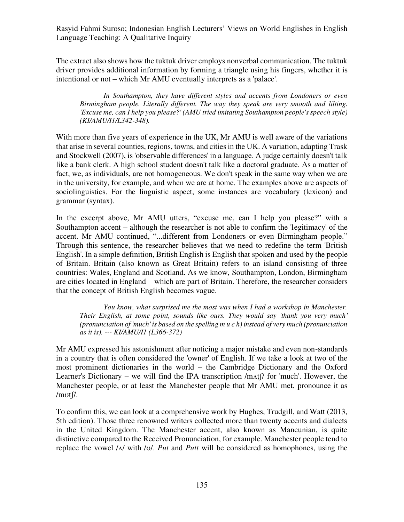The extract also shows how the tuktuk driver employs nonverbal communication. The tuktuk driver provides additional information by forming a triangle using his fingers, whether it is intentional or not – which Mr AMU eventually interprets as a 'palace'.

*In Southampton, they have different styles and accents from Londoners or even Birmingham people. Literally different. The way they speak are very smooth and lilting. 'Excuse me, can I help you please?' (AMU tried imitating Southampton people's speech style) (KI/AMU/I1/L342-348).* 

With more than five years of experience in the UK, Mr AMU is well aware of the variations that arise in several counties, regions, towns, and cities in the UK. A variation, adapting Trask and Stockwell (2007), is 'observable differences' in a language. A judge certainly doesn't talk like a bank clerk. A high school student doesn't talk like a doctoral graduate. As a matter of fact, we, as individuals, are not homogeneous. We don't speak in the same way when we are in the university, for example, and when we are at home. The examples above are aspects of sociolinguistics. For the linguistic aspect, some instances are vocabulary (lexicon) and grammar (syntax).

In the excerpt above, Mr AMU utters, "excuse me, can I help you please?" with a Southampton accent – although the researcher is not able to confirm the 'legitimacy' of the accent. Mr AMU continued, "...different from Londoners or even Birmingham people." Through this sentence, the researcher believes that we need to redefine the term 'British English'. In a simple definition, British English is English that spoken and used by the people of Britain. Britain (also known as Great Britain) refers to an island consisting of three countries: Wales, England and Scotland. As we know, Southampton, London, Birmingham are cities located in England – which are part of Britain. Therefore, the researcher considers that the concept of British English becomes vague.

*You know, what surprised me the most was when I had a workshop in Manchester. Their English, at some point, sounds like ours. They would say 'thank you very much' (pronunciation of 'much' is based on the spelling m u c h) instead of very much (pronunciation as it is). --- KI/AMU/I1 (L366-372)* 

Mr AMU expressed his astonishment after noticing a major mistake and even non-standards in a country that is often considered the 'owner' of English. If we take a look at two of the most prominent dictionaries in the world – the Cambridge Dictionary and the Oxford Learner's Dictionary – we will find the IPA transcription /mʌtʃ/ for 'much'. However, the Manchester people, or at least the Manchester people that Mr AMU met, pronounce it as /mʊtʃ/.

To confirm this, we can look at a comprehensive work by Hughes, Trudgill, and Watt (2013, 5th edition). Those three renowned writers collected more than twenty accents and dialects in the United Kingdom. The Manchester accent, also known as Mancunian, is quite distinctive compared to the Received Pronunciation, for example. Manchester people tend to replace the vowel /ʌ/ with /ʊ/. *Put* and *Putt* will be considered as homophones, using the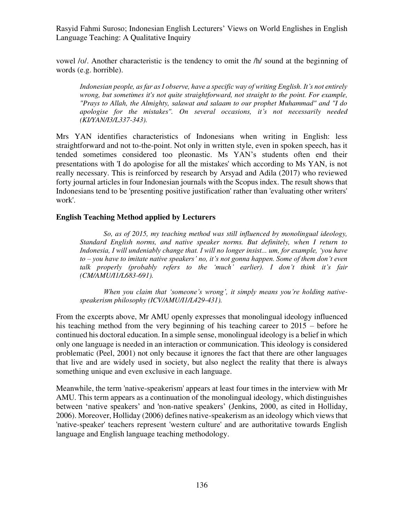vowel /ʊ/. Another characteristic is the tendency to omit the /h/ sound at the beginning of words (e.g. horrible).

*Indonesian people, as far as I observe, have a specific way of writing English. It's not entirely wrong, but sometimes it's not quite straightforward, not straight to the point. For example, "Prays to Allah, the Almighty, salawat and salaam to our prophet Muhammad" and "I do apologise for the mistakes". On several occasions, it's not necessarily needed (KI/YAN/I3/L337-343).* 

Mrs YAN identifies characteristics of Indonesians when writing in English: less straightforward and not to-the-point. Not only in written style, even in spoken speech, has it tended sometimes considered too pleonastic. Ms YAN's students often end their presentations with 'I do apologise for all the mistakes' which according to Ms YAN, is not really necessary. This is reinforced by research by Arsyad and Adila (2017) who reviewed forty journal articles in four Indonesian journals with the Scopus index. The result shows that Indonesians tend to be 'presenting positive justification' rather than 'evaluating other writers' work'.

### **English Teaching Method applied by Lecturers**

*So, as of 2015, my teaching method was still influenced by monolingual ideology, Standard English norms, and native speaker norms. But definitely, when I return to Indonesia, I will undeniably change that. I will no longer insist... um, for example, 'you have to – you have to imitate native speakers' no, it's not gonna happen. Some of them don't even talk properly (probably refers to the 'much' earlier). I don't think it's fair (CM/AMU/I1/L683-691).* 

*When you claim that 'someone's wrong', it simply means you're holding nativespeakerism philosophy (ICV/AMU/I1/L429-431).* 

From the excerpts above, Mr AMU openly expresses that monolingual ideology influenced his teaching method from the very beginning of his teaching career to 2015 – before he continued his doctoral education. In a simple sense, monolingual ideology is a belief in which only one language is needed in an interaction or communication. This ideology is considered problematic (Peel, 2001) not only because it ignores the fact that there are other languages that live and are widely used in society, but also neglect the reality that there is always something unique and even exclusive in each language.

Meanwhile, the term 'native-speakerism' appears at least four times in the interview with Mr AMU. This term appears as a continuation of the monolingual ideology, which distinguishes between 'native speakers' and 'non-native speakers' (Jenkins, 2000, as cited in Holliday, 2006). Moreover, Holliday (2006) defines native-speakerism as an ideology which views that 'native-speaker' teachers represent 'western culture' and are authoritative towards English language and English language teaching methodology.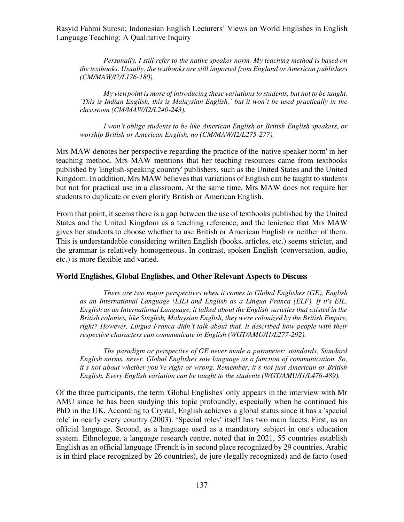*Personally, I still refer to the native speaker norm. My teaching method is based on the textbooks. Usually, the textbooks are still imported from England or American publishers (CM/MAW/I2/L176-180).* 

*My viewpoint is more of introducing these variations to students, but not to be taught. 'This is Indian English, this is Malaysian English,' but it won't be used practically in the classroom (CM/MAW/I2/L240-243).* 

*I won't oblige students to be like American English or British English speakers, or worship British or American English, no (CM/MAW/I2/L275-277).* 

Mrs MAW denotes her perspective regarding the practice of the 'native speaker norm' in her teaching method. Mrs MAW mentions that her teaching resources came from textbooks published by 'English-speaking country' publishers, such as the United States and the United Kingdom. In addition, Mrs MAW believes that variations of English can be taught to students but not for practical use in a classroom. At the same time, Mrs MAW does not require her students to duplicate or even glorify British or American English.

From that point, it seems there is a gap between the use of textbooks published by the United States and the United Kingdom as a teaching reference, and the lenience that Mrs MAW gives her students to choose whether to use British or American English or neither of them. This is understandable considering written English (books, articles, etc.) seems stricter, and the grammar is relatively homogeneous. In contrast, spoken English (conversation, audio, etc.) is more flexible and varied.

### **World Englishes, Global Englishes, and Other Relevant Aspects to Discuss**

*There are two major perspectives when it comes to Global Englishes (GE), English as an International Language (EIL) and English as a Lingua Franca (ELF). If it's EIL, English as an International Language, it talked about the English varieties that existed in the British colonies, like Singlish, Malaysian English, they were colonized by the British Empire, right? However, Lingua Franca didn't talk about that. It described how people with their respective characters can communicate in English (WGT/AMU/I1/L277-292).* 

*The paradigm or perspective of GE never made a parameter: standards, Standard English norms, never. Global Englishes saw language as a function of communication. So, it's not about whether you're right or wrong. Remember, it's not just American or British English. Every English variation can be taught to the students (WGT/AMU/I1/L476-489).* 

Of the three participants, the term 'Global Englishes' only appears in the interview with Mr AMU since he has been studying this topic profoundly, especially when he continued his PhD in the UK. According to Crystal, English achieves a global status since it has a 'special role' in nearly every country (2003). 'Special roles' itself has two main facets. First, as an official language. Second, as a language used as a mandatory subject in one's education system. Ethnologue, a language research centre, noted that in 2021, 55 countries establish English as an official language (French is in second place recognized by 29 countries, Arabic is in third place recognized by 26 countries), de jure (legally recognized) and de facto (used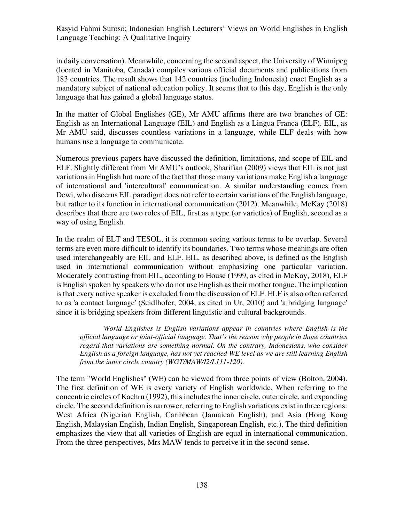in daily conversation). Meanwhile, concerning the second aspect, the University of Winnipeg (located in Manitoba, Canada) compiles various official documents and publications from 183 countries. The result shows that 142 countries (including Indonesia) enact English as a mandatory subject of national education policy. It seems that to this day, English is the only language that has gained a global language status.

In the matter of Global Englishes (GE), Mr AMU affirms there are two branches of GE: English as an International Language (EIL) and English as a Lingua Franca (ELF). EIL, as Mr AMU said, discusses countless variations in a language, while ELF deals with how humans use a language to communicate.

Numerous previous papers have discussed the definition, limitations, and scope of EIL and ELF. Slightly different from Mr AMU's outlook, Sharifian (2009) views that EIL is not just variations in English but more of the fact that those many variations make English a language of international and 'intercultural' communication. A similar understanding comes from Dewi, who discerns EIL paradigm does not refer to certain variations of the English language, but rather to its function in international communication (2012). Meanwhile, McKay (2018) describes that there are two roles of EIL, first as a type (or varieties) of English, second as a way of using English.

In the realm of ELT and TESOL, it is common seeing various terms to be overlap. Several terms are even more difficult to identify its boundaries. Two terms whose meanings are often used interchangeably are EIL and ELF. EIL, as described above, is defined as the English used in international communication without emphasizing one particular variation. Moderately contrasting from EIL, according to House (1999, as cited in McKay, 2018), ELF is English spoken by speakers who do not use English as their mother tongue. The implication is that every native speaker is excluded from the discussion of ELF. ELF is also often referred to as 'a contact language' (Seidlhofer, 2004, as cited in Ur, 2010) and 'a bridging language' since it is bridging speakers from different linguistic and cultural backgrounds.

*World Englishes is English variations appear in countries where English is the official language or joint-official language. That's the reason why people in those countries regard that variations are something normal. On the contrary, Indonesians, who consider English as a foreign language, has not yet reached WE level as we are still learning English from the inner circle country (WGT/MAW/I2/L111-120).* 

The term "World Englishes" (WE) can be viewed from three points of view (Bolton, 2004). The first definition of WE is every variety of English worldwide. When referring to the concentric circles of Kachru (1992), this includes the inner circle, outer circle, and expanding circle. The second definition is narrower, referring to English variations exist in three regions: West Africa (Nigerian English, Caribbean (Jamaican English), and Asia (Hong Kong English, Malaysian English, Indian English, Singaporean English, etc.). The third definition emphasizes the view that all varieties of English are equal in international communication. From the three perspectives, Mrs MAW tends to perceive it in the second sense.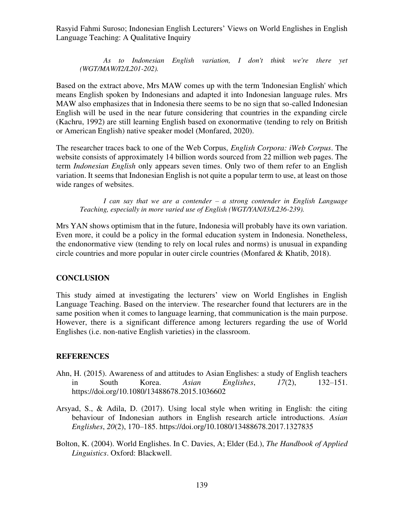*As to Indonesian English variation, I don't think we're there yet (WGT/MAW/I2/L201-202).* 

Based on the extract above, Mrs MAW comes up with the term 'Indonesian English' which means English spoken by Indonesians and adapted it into Indonesian language rules. Mrs MAW also emphasizes that in Indonesia there seems to be no sign that so-called Indonesian English will be used in the near future considering that countries in the expanding circle (Kachru, 1992) are still learning English based on exonormative (tending to rely on British or American English) native speaker model (Monfared, 2020).

The researcher traces back to one of the Web Corpus, *English Corpora: iWeb Corpus*. The website consists of approximately 14 billion words sourced from 22 million web pages. The term *Indonesian English* only appears seven times. Only two of them refer to an English variation. It seems that Indonesian English is not quite a popular term to use, at least on those wide ranges of websites.

*I can say that we are a contender – a strong contender in English Language Teaching, especially in more varied use of English (WGT/YAN/I3/L236-239).* 

Mrs YAN shows optimism that in the future, Indonesia will probably have its own variation. Even more, it could be a policy in the formal education system in Indonesia. Nonetheless, the endonormative view (tending to rely on local rules and norms) is unusual in expanding circle countries and more popular in outer circle countries (Monfared & Khatib, 2018).

#### **CONCLUSION**

This study aimed at investigating the lecturers' view on World Englishes in English Language Teaching. Based on the interview. The researcher found that lecturers are in the same position when it comes to language learning, that communication is the main purpose. However, there is a significant difference among lecturers regarding the use of World Englishes (i.e. non-native English varieties) in the classroom.

#### **REFERENCES**

- Ahn, H. (2015). Awareness of and attitudes to Asian Englishes: a study of English teachers in South Korea. *Asian Englishes*, *17*(2), 132–151. https://doi.org/10.1080/13488678.2015.1036602
- Arsyad, S., & Adila, D. (2017). Using local style when writing in English: the citing behaviour of Indonesian authors in English research article introductions. *Asian Englishes*, *20*(2), 170–185. https://doi.org/10.1080/13488678.2017.1327835
- Bolton, K. (2004). World Englishes. In C. Davies, A; Elder (Ed.), *The Handbook of Applied Linguistics*. Oxford: Blackwell.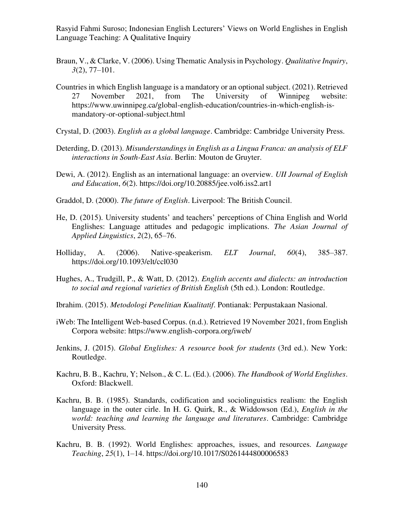- Braun, V., & Clarke, V. (2006). Using Thematic Analysis in Psychology. *Qualitative Inquiry*, *3*(2), 77–101.
- Countries in which English language is a mandatory or an optional subject. (2021). Retrieved 27 November 2021, from The University of Winnipeg website: https://www.uwinnipeg.ca/global-english-education/countries-in-which-english-ismandatory-or-optional-subject.html
- Crystal, D. (2003). *English as a global language*. Cambridge: Cambridge University Press.
- Deterding, D. (2013). *Misunderstandings in English as a Lingua Franca: an analysis of ELF interactions in South-East Asia*. Berlin: Mouton de Gruyter.
- Dewi, A. (2012). English as an international language: an overview. *UII Journal of English and Education*, *6*(2). https://doi.org/10.20885/jee.vol6.iss2.art1
- Graddol, D. (2000). *The future of English*. Liverpool: The British Council.
- He, D. (2015). University students' and teachers' perceptions of China English and World Englishes: Language attitudes and pedagogic implications. *The Asian Journal of Applied Linguistics*, *2*(2), 65–76.
- Holliday, A. (2006). Native-speakerism. *ELT Journal*, *60*(4), 385–387. https://doi.org/10.1093/elt/ccl030
- Hughes, A., Trudgill, P., & Watt, D. (2012). *English accents and dialects: an introduction to social and regional varieties of British English* (5th ed.). London: Routledge.
- Ibrahim. (2015). *Metodologi Penelitian Kualitatif*. Pontianak: Perpustakaan Nasional.
- iWeb: The Intelligent Web-based Corpus. (n.d.). Retrieved 19 November 2021, from English Corpora website: https://www.english-corpora.org/iweb/
- Jenkins, J. (2015). *Global Englishes: A resource book for students* (3rd ed.). New York: Routledge.
- Kachru, B. B., Kachru, Y; Nelson., & C. L. (Ed.). (2006). *The Handbook of World Englishes*. Oxford: Blackwell.
- Kachru, B. B. (1985). Standards, codification and sociolinguistics realism: the English language in the outer cirle. In H. G. Quirk, R., & Widdowson (Ed.), *English in the world: teaching and learning the language and literatures*. Cambridge: Cambridge University Press.
- Kachru, B. B. (1992). World Englishes: approaches, issues, and resources. *Language Teaching*, *25*(1), 1–14. https://doi.org/10.1017/S0261444800006583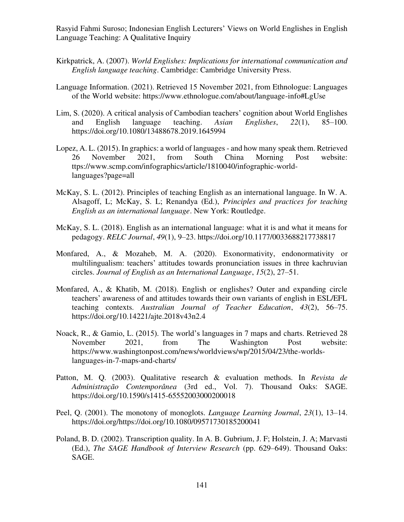- Kirkpatrick, A. (2007). *World Englishes: Implications for international communication and English language teaching*. Cambridge: Cambridge University Press.
- Language Information. (2021). Retrieved 15 November 2021, from Ethnologue: Languages of the World website: https://www.ethnologue.com/about/language-info#LgUse
- Lim, S. (2020). A critical analysis of Cambodian teachers' cognition about World Englishes and English language teaching. *Asian Englishes*, *22*(1), 85–100. https://doi.org/10.1080/13488678.2019.1645994
- Lopez, A. L. (2015). In graphics: a world of languages and how many speak them. Retrieved 26 November 2021, from South China Morning Post website: ttps://www.scmp.com/infographics/article/1810040/infographic-worldlanguages?page=all
- McKay, S. L. (2012). Principles of teaching English as an international language. In W. A. Alsagoff, L; McKay, S. L; Renandya (Ed.), *Principles and practices for teaching English as an international language*. New York: Routledge.
- McKay, S. L. (2018). English as an international language: what it is and what it means for pedagogy. *RELC Journal*, *49*(1), 9–23. https://doi.org/10.1177/0033688217738817
- Monfared, A., & Mozaheb, M. A. (2020). Exonormativity, endonormativity or multilingualism: teachers' attitudes towards pronunciation issues in three kachruvian circles. *Journal of English as an International Language*, *15*(2), 27–51.
- Monfared, A., & Khatib, M. (2018). English or englishes? Outer and expanding circle teachers' awareness of and attitudes towards their own variants of english in ESL/EFL teaching contexts. *Australian Journal of Teacher Education*, *43*(2), 56–75. https://doi.org/10.14221/ajte.2018v43n2.4
- Noack, R., & Gamio, L. (2015). The world's languages in 7 maps and charts. Retrieved 28 November 2021, from The Washington Post website: https://www.washingtonpost.com/news/worldviews/wp/2015/04/23/the-worldslanguages-in-7-maps-and-charts/
- Patton, M. Q. (2003). Qualitative research & evaluation methods. In *Revista de Administração Contemporânea* (3rd ed., Vol. 7). Thousand Oaks: SAGE. https://doi.org/10.1590/s1415-65552003000200018
- Peel, Q. (2001). The monotony of monoglots. *Language Learning Journal*, *23*(1), 13–14. https://doi.org/https://doi.org/10.1080/09571730185200041
- Poland, B. D. (2002). Transcription quality. In A. B. Gubrium, J. F; Holstein, J. A; Marvasti (Ed.), *The SAGE Handbook of Interview Research* (pp. 629–649). Thousand Oaks: SAGE.